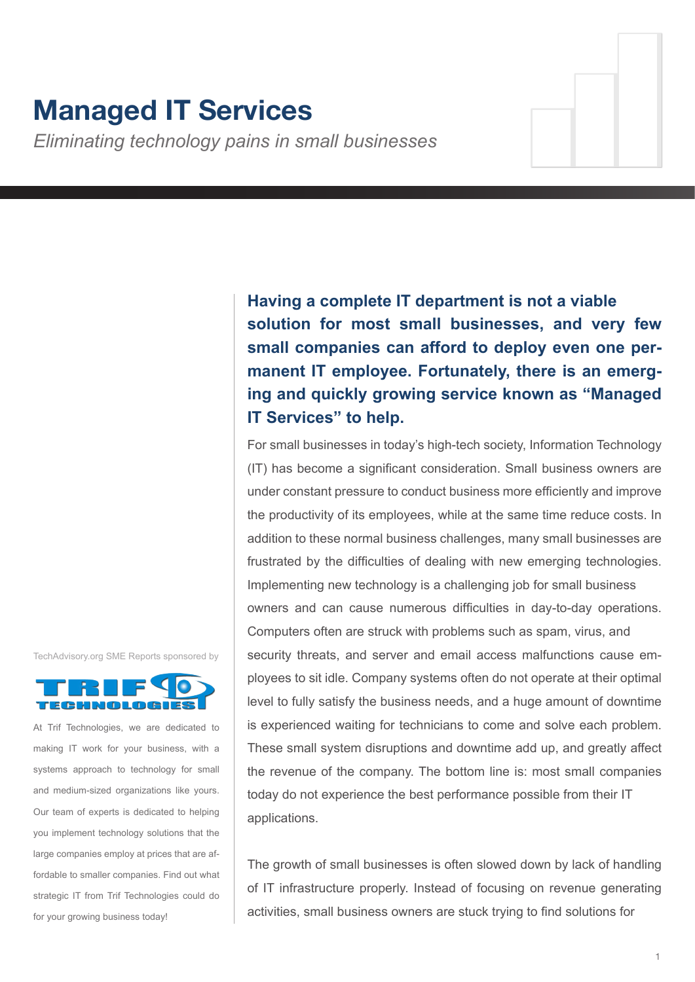# **Managed IT Services**

*Eliminating technology pains in small businesses*

**Having a complete IT department is not a viable solution for most small businesses, and very few small companies can afford to deploy even one permanent IT employee. Fortunately, there is an emerging and quickly growing service known as "Managed IT Services" to help.**

For small businesses in today's high-tech society, Information Technology (IT) has become a significant consideration. Small business owners are under constant pressure to conduct business more efficiently and improve the productivity of its employees, while at the same time reduce costs. In addition to these normal business challenges, many small businesses are frustrated by the difficulties of dealing with new emerging technologies. Implementing new technology is a challenging job for small business owners and can cause numerous difficulties in day-to-day operations. Computers often are struck with problems such as spam, virus, and security threats, and server and email access malfunctions cause employees to sit idle. Company systems often do not operate at their optimal level to fully satisfy the business needs, and a huge amount of downtime is experienced waiting for technicians to come and solve each problem. These small system disruptions and downtime add up, and greatly affect the revenue of the company. The bottom line is: most small companies today do not experience the best performance possible from their IT applications.

The growth of small businesses is often slowed down by lack of handling of IT infrastructure properly. Instead of focusing on revenue generating activities, small business owners are stuck trying to find solutions for

TechAdvisory.org SME Reports sponsored by



At Trif Technologies, we are dedicated to making IT work for your business, with a systems approach to technology for small and medium-sized organizations like yours. Our team of experts is dedicated to helping you implement technology solutions that the large companies employ at prices that are affordable to smaller companies. Find out what strategic IT from Trif Technologies could do for your growing business today!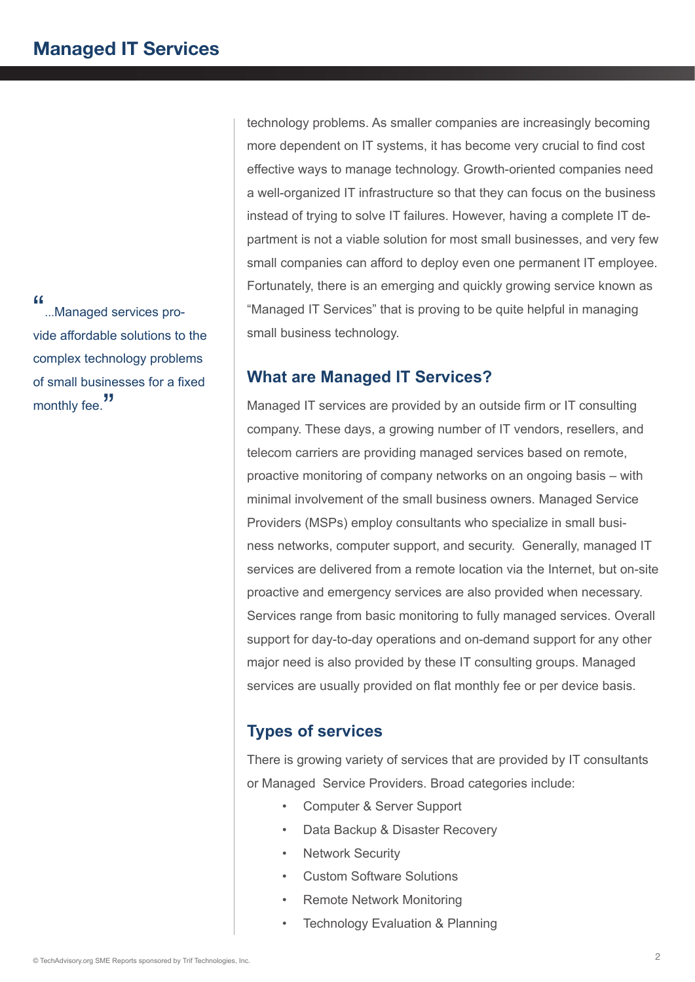"...Managed services provide affordable solutions to the complex technology problems of small businesses for a fixed monthly fee."

technology problems. As smaller companies are increasingly becoming more dependent on IT systems, it has become very crucial to find cost effective ways to manage technology. Growth-oriented companies need a well-organized IT infrastructure so that they can focus on the business instead of trying to solve IT failures. However, having a complete IT department is not a viable solution for most small businesses, and very few small companies can afford to deploy even one permanent IT employee. Fortunately, there is an emerging and quickly growing service known as "Managed IT Services" that is proving to be quite helpful in managing small business technology.

## **What are Managed IT Services?**

Managed IT services are provided by an outside firm or IT consulting company. These days, a growing number of IT vendors, resellers, and telecom carriers are providing managed services based on remote, proactive monitoring of company networks on an ongoing basis – with minimal involvement of the small business owners. Managed Service Providers (MSPs) employ consultants who specialize in small business networks, computer support, and security. Generally, managed IT services are delivered from a remote location via the Internet, but on-site proactive and emergency services are also provided when necessary. Services range from basic monitoring to fully managed services. Overall support for day-to-day operations and on-demand support for any other major need is also provided by these IT consulting groups. Managed services are usually provided on flat monthly fee or per device basis.

# **Types of services**

There is growing variety of services that are provided by IT consultants or Managed Service Providers. Broad categories include:

- Computer & Server Support
- Data Backup & Disaster Recovery
- **Network Security**
- Custom Software Solutions
- Remote Network Monitoring
- Technology Evaluation & Planning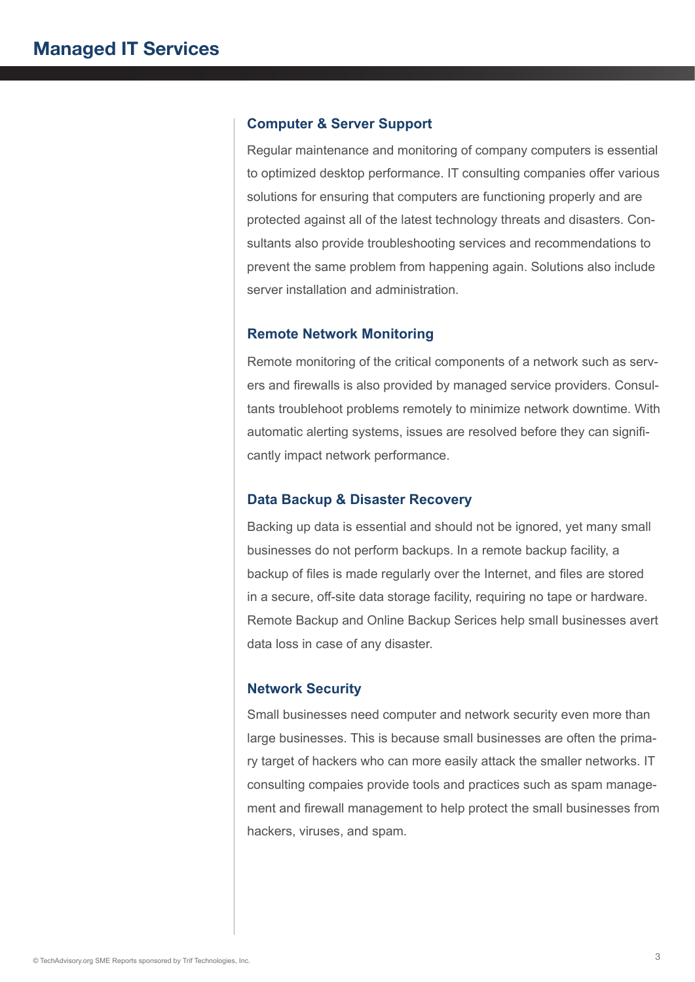#### **Computer & Server Support**

Regular maintenance and monitoring of company computers is essential to optimized desktop performance. IT consulting companies offer various solutions for ensuring that computers are functioning properly and are protected against all of the latest technology threats and disasters. Consultants also provide troubleshooting services and recommendations to prevent the same problem from happening again. Solutions also include server installation and administration.

#### **Remote Network Monitoring**

Remote monitoring of the critical components of a network such as servers and firewalls is also provided by managed service providers. Consultants troublehoot problems remotely to minimize network downtime. With automatic alerting systems, issues are resolved before they can significantly impact network performance.

#### **Data Backup & Disaster Recovery**

Backing up data is essential and should not be ignored, yet many small businesses do not perform backups. In a remote backup facility, a backup of files is made regularly over the Internet, and files are stored in a secure, off-site data storage facility, requiring no tape or hardware. Remote Backup and Online Backup Serices help small businesses avert data loss in case of any disaster.

#### **Network Security**

Small businesses need computer and network security even more than large businesses. This is because small businesses are often the primary target of hackers who can more easily attack the smaller networks. IT consulting compaies provide tools and practices such as spam management and firewall management to help protect the small businesses from hackers, viruses, and spam.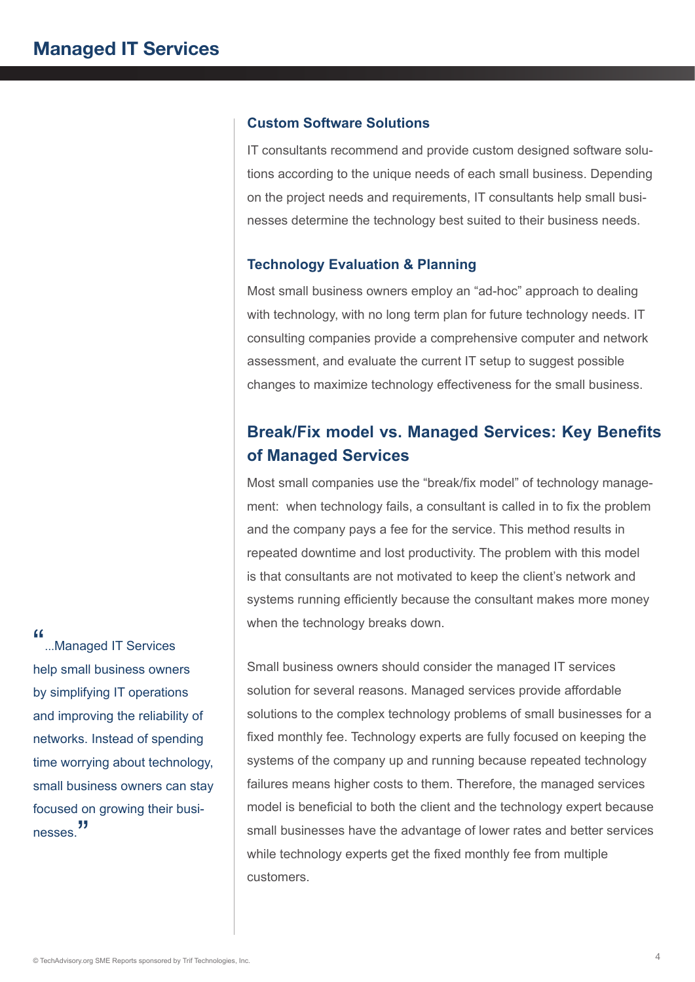#### **Custom Software Solutions**

IT consultants recommend and provide custom designed software solutions according to the unique needs of each small business. Depending on the project needs and requirements, IT consultants help small businesses determine the technology best suited to their business needs.

#### **Technology Evaluation & Planning**

Most small business owners employ an "ad-hoc" approach to dealing with technology, with no long term plan for future technology needs. IT consulting companies provide a comprehensive computer and network assessment, and evaluate the current IT setup to suggest possible changes to maximize technology effectiveness for the small business.

# **Break/Fix model vs. Managed Services: Key Benefits of Managed Services**

Most small companies use the "break/fix model" of technology management: when technology fails, a consultant is called in to fix the problem and the company pays a fee for the service. This method results in repeated downtime and lost productivity. The problem with this model is that consultants are not motivated to keep the client's network and systems running efficiently because the consultant makes more money when the technology breaks down.

Small business owners should consider the managed IT services solution for several reasons. Managed services provide affordable solutions to the complex technology problems of small businesses for a fixed monthly fee. Technology experts are fully focused on keeping the systems of the company up and running because repeated technology failures means higher costs to them. Therefore, the managed services model is beneficial to both the client and the technology expert because small businesses have the advantage of lower rates and better services while technology experts get the fixed monthly fee from multiple customers.

"...Managed IT Services help small business owners by simplifying IT operations and improving the reliability of networks. Instead of spending time worrying about technology, small business owners can stay focused on growing their businesses.<sup>"</sup>